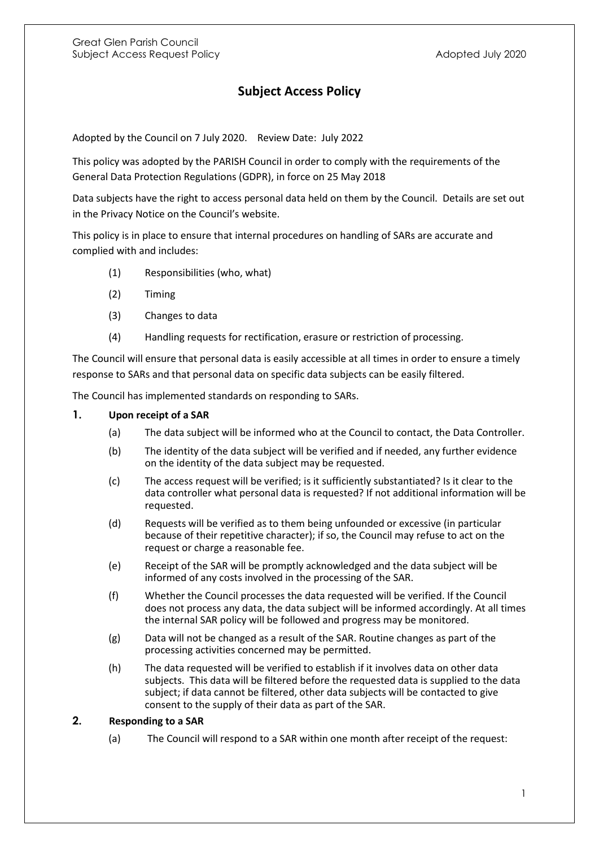## **Subject Access Policy**

Adopted by the Council on 7 July 2020. Review Date: July 2022

This policy was adopted by the PARISH Council in order to comply with the requirements of the General Data Protection Regulations (GDPR), in force on 25 May 2018

Data subjects have the right to access personal data held on them by the Council. Details are set out in the Privacy Notice on the Council's website.

This policy is in place to ensure that internal procedures on handling of SARs are accurate and complied with and includes:

- (1) Responsibilities (who, what)
- (2) Timing
- (3) Changes to data
- (4) Handling requests for rectification, erasure or restriction of processing.

The Council will ensure that personal data is easily accessible at all times in order to ensure a timely response to SARs and that personal data on specific data subjects can be easily filtered.

The Council has implemented standards on responding to SARs.

## **1. Upon receipt of a SAR**

- (a) The data subject will be informed who at the Council to contact, the Data Controller.
- (b) The identity of the data subject will be verified and if needed, any further evidence on the identity of the data subject may be requested.
- (c) The access request will be verified; is it sufficiently substantiated? Is it clear to the data controller what personal data is requested? If not additional information will be requested.
- (d) Requests will be verified as to them being unfounded or excessive (in particular because of their repetitive character); if so, the Council may refuse to act on the request or charge a reasonable fee.
- (e) Receipt of the SAR will be promptly acknowledged and the data subject will be informed of any costs involved in the processing of the SAR.
- (f) Whether the Council processes the data requested will be verified. If the Council does not process any data, the data subject will be informed accordingly. At all times the internal SAR policy will be followed and progress may be monitored.
- (g) Data will not be changed as a result of the SAR. Routine changes as part of the processing activities concerned may be permitted.
- (h) The data requested will be verified to establish if it involves data on other data subjects. This data will be filtered before the requested data is supplied to the data subject; if data cannot be filtered, other data subjects will be contacted to give consent to the supply of their data as part of the SAR.

## **2. Responding to a SAR**

(a) The Council will respond to a SAR within one month after receipt of the request: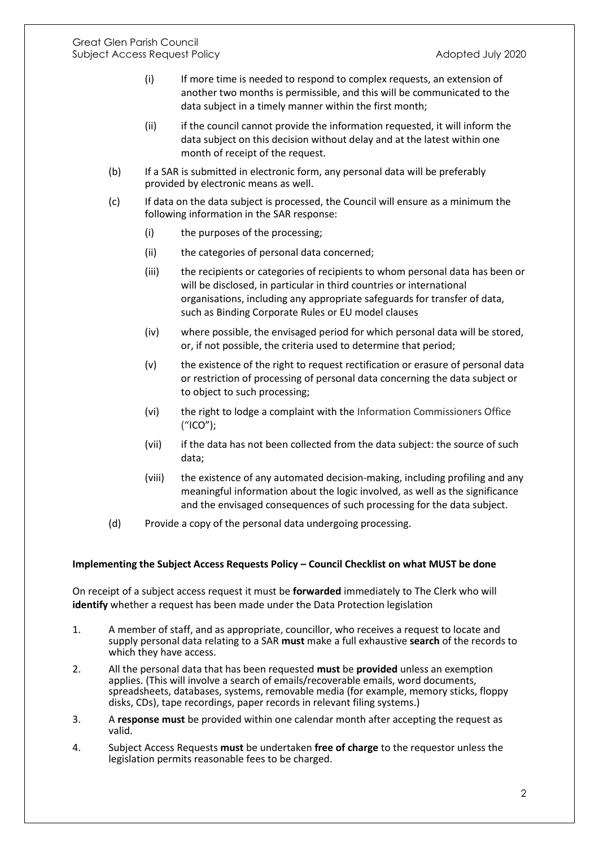- (i) If more time is needed to respond to complex requests, an extension of another two months is permissible, and this will be communicated to the data subject in a timely manner within the first month;
- (ii) if the council cannot provide the information requested, it will inform the data subject on this decision without delay and at the latest within one month of receipt of the request.
- (b) If a SAR is submitted in electronic form, any personal data will be preferably provided by electronic means as well.
- (c) If data on the data subject is processed, the Council will ensure as a minimum the following information in the SAR response:
	- (i) the purposes of the processing;
	- (ii) the categories of personal data concerned;
	- (iii) the recipients or categories of recipients to whom personal data has been or will be disclosed, in particular in third countries or international organisations, including any appropriate safeguards for transfer of data, such as Binding Corporate Rules or EU model clauses
	- (iv) where possible, the envisaged period for which personal data will be stored, or, if not possible, the criteria used to determine that period;
	- (v) the existence of the right to request rectification or erasure of personal data or restriction of processing of personal data concerning the data subject or to object to such processing;
	- (vi) the right to lodge a complaint with the Information Commissioners Office ("ICO");
	- (vii) if the data has not been collected from the data subject: the source of such data;
	- (viii) the existence of any automated decision-making, including profiling and any meaningful information about the logic involved, as well as the significance and the envisaged consequences of such processing for the data subject.
- (d) Provide a copy of the personal data undergoing processing.

## **Implementing the Subject Access Requests Policy – Council Checklist on what MUST be done**

On receipt of a subject access request it must be **forwarded** immediately to The Clerk who will **identify** whether a request has been made under the Data Protection legislation

- 1. A member of staff, and as appropriate, councillor, who receives a request to locate and supply personal data relating to a SAR **must** make a full exhaustive **search** of the records to which they have access.
- 2. All the personal data that has been requested **must** be **provided** unless an exemption applies. (This will involve a search of emails/recoverable emails, word documents, spreadsheets, databases, systems, removable media (for example, memory sticks, floppy disks, CDs), tape recordings, paper records in relevant filing systems.)
- 3. A **response must** be provided within one calendar month after accepting the request as valid.
- 4. Subject Access Requests **must** be undertaken **free of charge** to the requestor unless the legislation permits reasonable fees to be charged.